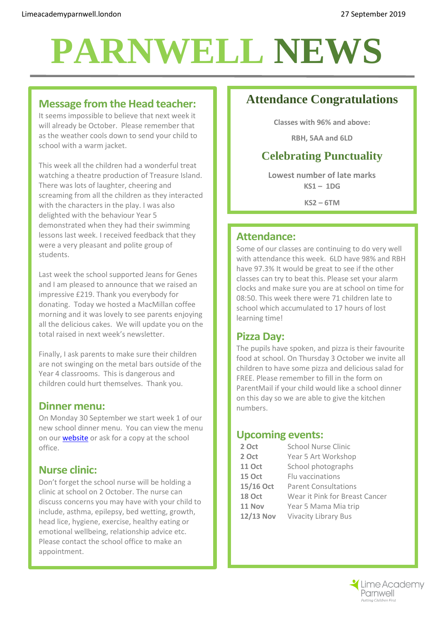# **PARNWELL NEWS**

#### **Message from the Head teacher:**

It seems impossible to believe that next week it will already be October. Please remember that as the weather cools down to send your child to school with a warm jacket.

This week all the children had a wonderful treat watching a theatre production of Treasure Island. There was lots of laughter, cheering and screaming from all the children as they interacted with the characters in the play. I was also delighted with the behaviour Year 5 demonstrated when they had their swimming lessons last week. I received feedback that they were a very pleasant and polite group of students.

Last week the school supported Jeans for Genes and I am pleased to announce that we raised an impressive £219. Thank you everybody for donating. Today we hosted a MacMillan coffee morning and it was lovely to see parents enjoying all the delicious cakes. We will update you on the total raised in next week's newsletter.

Finally, I ask parents to make sure their children are not swinging on the metal bars outside of the Year 4 classrooms. This is dangerous and children could hurt themselves. Thank you.

#### **Dinner menu:**

On Monday 30 September we start week 1 of our new school dinner menu. You can view the menu on our **website** or ask for a copy at the school office.

## **Nurse clinic:**

Don't forget the school nurse will be holding a clinic at school on 2 October. The nurse can discuss concerns you may have with your child to include, asthma, epilepsy, bed wetting, growth, head lice, hygiene, exercise, healthy eating or emotional wellbeing, relationship advice etc. Please contact the school office to make an appointment.

# **Attendance Congratulations**

**Classes with 96% and above:**

**RBH, 5AA and 6LD**

## **Celebrating Punctuality**

**Lowest number of late marks KS1 – 1DG**

**KS2 – 6TM**

## **Attendance:**

Some of our classes are continuing to do very well with attendance this week. 6LD have 98% and RBH have 97.3% It would be great to see if the other classes can try to beat this. Please set your alarm clocks and make sure you are at school on time for 08:50. This week there were 71 children late to school which accumulated to 17 hours of lost learning time!

#### **Pizza Day:**

The pupils have spoken, and pizza is their favourite food at school. On Thursday 3 October we invite all children to have some pizza and delicious salad for FREE. Please remember to fill in the form on ParentMail if your child would like a school dinner on this day so we are able to give the kitchen numbers.

#### **Upcoming events:**

| <b>School Nurse Clinic</b>     |
|--------------------------------|
| Year 5 Art Workshop            |
| School photographs             |
| Flu vaccinations               |
| <b>Parent Consultations</b>    |
| Wear it Pink for Breast Cancer |
| Year 5 Mama Mia trip           |
| <b>Vivacity Library Bus</b>    |
|                                |